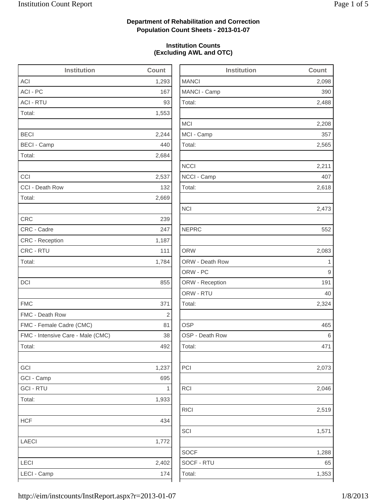2,488

2,208

2,565

2,618

2,473

2,083

2,073

2,046

2,519

1,288

## **Department of Rehabilitation and Correction Population Count Sheets - 2013-01-07**

## **Institution Counts (Excluding AWL and OTC)**

| <b>Institution</b>                | Count | <b>Institution</b> | Count |
|-----------------------------------|-------|--------------------|-------|
| <b>ACI</b>                        | 1,293 | <b>MANCI</b>       | 2,098 |
| ACI - PC                          | 167   | MANCI - Camp       | 390   |
| <b>ACI - RTU</b>                  | 93    | Total:             | 2,488 |
| Total:                            | 1,553 |                    |       |
|                                   |       | <b>MCI</b>         | 2,208 |
| <b>BECI</b>                       | 2,244 | MCI - Camp         | 357   |
| <b>BECI - Camp</b>                | 440   | Total:             | 2,565 |
| Total:                            | 2,684 |                    |       |
|                                   |       | <b>NCCI</b>        | 2,211 |
| CCI                               | 2,537 | NCCI - Camp        | 407   |
| CCI - Death Row                   | 132   | Total:             | 2,618 |
| Total:                            | 2,669 |                    |       |
|                                   |       | <b>NCI</b>         | 2,473 |
| <b>CRC</b>                        | 239   |                    |       |
| CRC - Cadre                       | 247   | <b>NEPRC</b>       | 552   |
| <b>CRC</b> - Reception            | 1,187 |                    |       |
| CRC - RTU                         | 111   | <b>ORW</b>         | 2,083 |
| Total:                            | 1,784 | ORW - Death Row    | 1     |
|                                   |       | ORW - PC           | 9     |
| <b>DCI</b>                        | 855   | ORW - Reception    | 191   |
|                                   |       | ORW - RTU          | 40    |
| <b>FMC</b>                        | 371   | Total:             | 2,324 |
| FMC - Death Row                   | 2     |                    |       |
| FMC - Female Cadre (CMC)          | 81    | <b>OSP</b>         | 465   |
| FMC - Intensive Care - Male (CMC) | 38    | OSP - Death Row    | 6     |
| Total:                            | 492   | Total:             | 471   |
| GCI                               | 1,237 | PCI                | 2,073 |
| GCI - Camp                        | 695   |                    |       |
| <b>GCI - RTU</b>                  | 1     | <b>RCI</b>         | 2,046 |
| Total:                            | 1,933 |                    |       |
|                                   |       | <b>RICI</b>        | 2,519 |
| <b>HCF</b>                        | 434   |                    |       |
|                                   |       | SCI                | 1,571 |
| LAECI                             | 1,772 |                    |       |
|                                   |       | <b>SOCF</b>        | 1,288 |
| LECI                              | 2,402 | SOCF - RTU         | 65    |
| LECI - Camp                       | 174   | Total:             | 1,353 |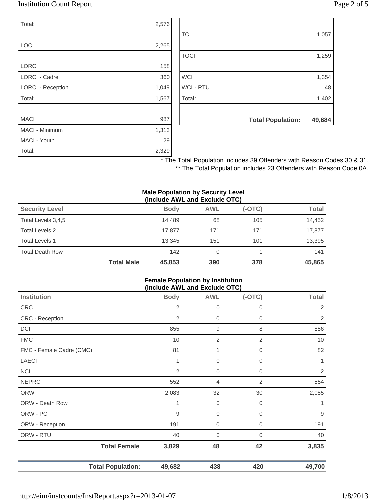## Institution Count Report Page 2 of 5

| Total:                   | 2,576 |
|--------------------------|-------|
|                          |       |
| <b>LOCI</b>              | 2,265 |
|                          |       |
| <b>LORCI</b>             | 158   |
| <b>LORCI - Cadre</b>     | 360   |
| <b>LORCI - Reception</b> | 1,049 |
| Total:                   | 1,567 |
|                          |       |
| <b>MACI</b>              | 987   |
| <b>MACI - Minimum</b>    | 1,313 |
| MACI - Youth             | 29    |
| Total:                   | 2,329 |

|                  | <b>Total Population:</b> | 49,684 |
|------------------|--------------------------|--------|
|                  |                          |        |
| Total:           |                          | 1,402  |
| <b>WCI - RTU</b> |                          | 48     |
| <b>WCI</b>       |                          | 1,354  |
|                  |                          |        |
| <b>TOCI</b>      |                          | 1,259  |
|                  |                          |        |
| <b>TCI</b>       |                          | 1,057  |

\* The Total Population includes 39 Offenders with Reason Codes 30 & 31. \*\* The Total Population includes 23 Offenders with Reason Code 0A.

#### **Male Population by Security Level (Include AWL and Exclude OTC)**

| <b>Security Level</b>  |                   | <b>Body</b> | <b>AWL</b> | $(-OTC)$ | Total  |
|------------------------|-------------------|-------------|------------|----------|--------|
| Total Levels 3,4,5     |                   | 14.489      | 68         | 105      | 14,452 |
| Total Levels 2         |                   | 17.877      | 171        | 171      | 17,877 |
| <b>Total Levels 1</b>  |                   | 13,345      | 151        | 101      | 13,395 |
| <b>Total Death Row</b> |                   | 142         | 0          |          | 141    |
|                        | <b>Total Male</b> | 45,853      | 390        | 378      | 45,865 |

#### **Female Population by Institution (Include AWL and Exclude OTC)**

|                          |                |                  | . ,          |                  |
|--------------------------|----------------|------------------|--------------|------------------|
| Institution              | <b>Body</b>    | <b>AWL</b>       | $(-OTC)$     | <b>Total</b>     |
| CRC                      | 2              | $\mathbf 0$      | 0            | 2                |
| CRC - Reception          | 2              | $\overline{0}$   | 0            | $\sqrt{2}$       |
| DCI                      | 855            | 9                | 8            | 856              |
| <b>FMC</b>               | 10             | $\overline{2}$   | $\mathbf{2}$ | 10               |
| FMC - Female Cadre (CMC) | 81             | 1                | 0            | 82               |
| <b>LAECI</b>             |                | $\boldsymbol{0}$ | 0            | 1                |
| <b>NCI</b>               | $\overline{2}$ | $\overline{0}$   | 0            | $\overline{2}$   |
| <b>NEPRC</b>             | 552            | 4                | 2            | 554              |
| <b>ORW</b>               | 2,083          | 32               | 30           | 2,085            |
| ORW - Death Row          | 1              | $\boldsymbol{0}$ | 0            | 1.               |
| ORW - PC                 | 9              | 0                | 0            | $\boldsymbol{9}$ |
| ORW - Reception          | 191            | $\boldsymbol{0}$ | 0            | 191              |
| ORW - RTU                | 40             | $\mathbf 0$      | 0            | 40               |
| <b>Total Female</b>      | 3,829          | 48               | 42           | 3,835            |
| <b>Total Population:</b> | 49,682         | 438              | 420          | 49,700           |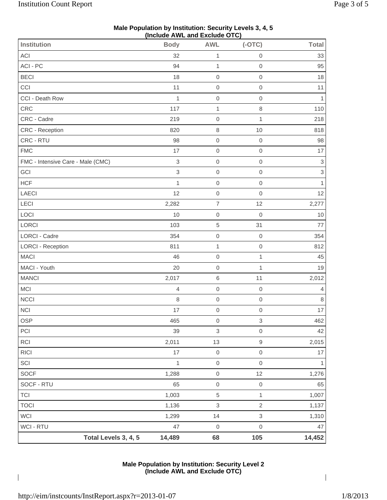| (Include AWL and Exclude OTC)     |                           |                     |                     |                           |  |
|-----------------------------------|---------------------------|---------------------|---------------------|---------------------------|--|
| <b>Institution</b>                | <b>Body</b>               | <b>AWL</b>          | $(-OTC)$            | <b>Total</b>              |  |
| ACI                               | 32                        | $\mathbf 1$         | $\boldsymbol{0}$    | 33                        |  |
| ACI - PC                          | 94                        | $\mathbf{1}$        | $\mathbf 0$         | 95                        |  |
| <b>BECI</b>                       | 18                        | $\mathbf 0$         | $\mathbf 0$         | 18                        |  |
| CCI                               | 11                        | $\mathbf 0$         | $\mathbf 0$         | 11                        |  |
| CCI - Death Row                   | $\mathbf 1$               | $\mathsf{O}\xspace$ | $\mathbf 0$         | 1                         |  |
| CRC                               | 117                       | $\mathbf{1}$        | $\,8\,$             | 110                       |  |
| CRC - Cadre                       | 219                       | $\mbox{O}$          | $\mathbf{1}$        | 218                       |  |
| CRC - Reception                   | 820                       | $\,8\,$             | 10                  | 818                       |  |
| CRC - RTU                         | 98                        | $\mathbf 0$         | $\boldsymbol{0}$    | 98                        |  |
| <b>FMC</b>                        | 17                        | $\mathbf 0$         | $\mathbf 0$         | 17                        |  |
| FMC - Intensive Care - Male (CMC) | $\,$ 3 $\,$               | $\mathbf 0$         | $\mathbf 0$         | $\ensuremath{\mathsf{3}}$ |  |
| GCI                               | $\ensuremath{\mathsf{3}}$ | $\mathsf{O}\xspace$ | $\boldsymbol{0}$    | $\ensuremath{\mathsf{3}}$ |  |
| <b>HCF</b>                        | $\mathbf{1}$              | $\mathbf 0$         | $\mathbf 0$         | $\mathbf{1}$              |  |
| <b>LAECI</b>                      | 12                        | $\mathbf 0$         | $\mathbf 0$         | 12                        |  |
| LECI                              | 2,282                     | $\boldsymbol{7}$    | 12                  | 2,277                     |  |
| LOCI                              | 10                        | $\mathbf 0$         | $\mathbf 0$         | 10                        |  |
| LORCI                             | 103                       | $\,$ 5 $\,$         | 31                  | 77                        |  |
| <b>LORCI - Cadre</b>              | 354                       | $\mathbf 0$         | $\boldsymbol{0}$    | 354                       |  |
| <b>LORCI - Reception</b>          | 811                       | $\mathbf{1}$        | $\mathbf 0$         | 812                       |  |
| <b>MACI</b>                       | 46                        | $\mathbf 0$         | $\mathbf{1}$        | 45                        |  |
| MACI - Youth                      | 20                        | $\mathbf 0$         | $\mathbf{1}$        | 19                        |  |
| <b>MANCI</b>                      | 2,017                     | $\,$ 6 $\,$         | 11                  | 2,012                     |  |
| <b>MCI</b>                        | $\overline{4}$            | $\mathbf 0$         | $\boldsymbol{0}$    | 4                         |  |
| <b>NCCI</b>                       | $\,8\,$                   | $\mathsf{O}\xspace$ | $\mathsf{O}\xspace$ | $\,8\,$                   |  |
| NCI                               | 17                        | $\mbox{O}$          | $\mathbf 0$         | 17                        |  |
| OSP                               | 465                       | $\mbox{O}$          | 3                   | 462                       |  |
| PCI                               | 39                        | 3                   | $\mbox{O}$          | 42                        |  |
| <b>RCI</b>                        | 2,011                     | 13                  | $\hbox{9}$          | 2,015                     |  |
| <b>RICI</b>                       | 17                        | $\mbox{O}$          | $\mathsf{O}\xspace$ | 17                        |  |
| SCI                               | $\mathbf{1}$              | $\mathbf 0$         | $\mathbf 0$         | 1                         |  |
| <b>SOCF</b>                       | 1,288                     | $\mbox{O}$          | 12                  | 1,276                     |  |
| SOCF - RTU                        | 65                        | $\mbox{O}$          | $\mathbf 0$         | 65                        |  |
| <b>TCI</b>                        | 1,003                     | $\,$ 5 $\,$         | $\mathbf{1}$        | 1,007                     |  |
| <b>TOCI</b>                       | 1,136                     | 3                   | $\sqrt{2}$          | 1,137                     |  |
| WCI                               | 1,299                     | 14                  | $\,$ 3 $\,$         | 1,310                     |  |
| WCI - RTU                         | 47                        | $\boldsymbol{0}$    | $\mbox{O}$          | 47                        |  |
| Total Levels 3, 4, 5              | 14,489                    | 68                  | 105                 | 14,452                    |  |

### **Male Population by Institution: Security Levels 3, 4, 5 (Include AWL and Exclude OTC)**

### **Male Population by Institution: Security Level 2 (Include AWL and Exclude OTC)**

http://eim/instcounts/InstReport.aspx?r=2013-01-07 1/8/2013

 $\overline{\phantom{a}}$ 

 $\overline{\phantom{a}}$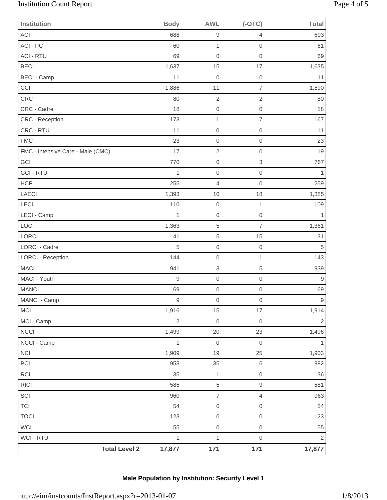# Institution Count Report Page 4 of 5

| <b>Institution</b>                | <b>Body</b>      | <b>AWL</b>          | $(-OTC)$            | Total          |
|-----------------------------------|------------------|---------------------|---------------------|----------------|
| ACI                               | 688              | $\hbox{9}$          | $\overline{4}$      | 693            |
| ACI - PC                          | 60               | $\mathbf{1}$        | $\mathbf 0$         | 61             |
| <b>ACI - RTU</b>                  | 69               | 0                   | $\mathbf 0$         | 69             |
| <b>BECI</b>                       | 1,637            | 15                  | 17                  | 1,635          |
| <b>BECI - Camp</b>                | 11               | $\mathbf 0$         | $\mathbf 0$         | 11             |
| CCI                               | 1,886            | 11                  | $\overline{7}$      | 1,890          |
| CRC                               | 80               | $\overline{2}$      | $\sqrt{2}$          | 80             |
| CRC - Cadre                       | 18               | $\mathbf 0$         | $\mathbf 0$         | 18             |
| <b>CRC</b> - Reception            | 173              | $\mathbf{1}$        | $\overline{7}$      | 167            |
| CRC - RTU                         | 11               | $\mathbf 0$         | $\mathsf{O}\xspace$ | 11             |
| <b>FMC</b>                        | 23               | $\mathbf 0$         | $\mathbf 0$         | 23             |
| FMC - Intensive Care - Male (CMC) | 17               | $\overline{2}$      | $\mathbf 0$         | 19             |
| GCI                               | 770              | $\mathbf 0$         | $\mathsf 3$         | 767            |
| <b>GCI - RTU</b>                  | 1                | $\mathbf 0$         | $\mathbf 0$         | 1              |
| <b>HCF</b>                        | 255              | $\overline{4}$      | $\mathbf 0$         | 259            |
| <b>LAECI</b>                      | 1,393            | 10                  | 18                  | 1,385          |
| <b>LECI</b>                       | 110              | $\mathbf 0$         | $\mathbf{1}$        | 109            |
| LECI - Camp                       | $\mathbf{1}$     | 0                   | $\mbox{O}$          | 1              |
| LOCI                              | 1,363            | 5                   | $\overline{7}$      | 1,361          |
| <b>LORCI</b>                      | 41               | 5                   | 15                  | 31             |
| <b>LORCI - Cadre</b>              | 5                | $\mathbf 0$         | $\mathbf 0$         | 5              |
| <b>LORCI - Reception</b>          | 144              | $\mathbf 0$         | $\mathbf{1}$        | 143            |
| <b>MACI</b>                       | 941              | 3                   | 5                   | 939            |
| MACI - Youth                      | $\boldsymbol{9}$ | $\mathbf 0$         | $\mathbf 0$         | 9              |
| <b>MANCI</b>                      | 69               | $\boldsymbol{0}$    | $\mathbf 0$         | 69             |
| MANCI - Camp                      | $\boldsymbol{9}$ | $\,0\,$             | $\mathsf{O}\xspace$ | $9\,$          |
| <b>MCI</b>                        | 1,916            | 15                  | 17                  | 1,914          |
| MCI - Camp                        | $\overline{2}$   | $\mbox{O}$          | $\mathbf 0$         | $\mathbf{2}$   |
| <b>NCCI</b>                       | 1,499            | 20                  | 23                  | 1,496          |
| NCCI - Camp                       | $\mathbf{1}$     | $\mbox{O}$          | $\,0\,$             |                |
| <b>NCI</b>                        | 1,909            | 19                  | 25                  | 1,903          |
| PCI                               | 953              | 35                  | 6                   | 982            |
| <b>RCI</b>                        | 35               | $\mathbf{1}$        | $\mathsf{O}\xspace$ | 36             |
| <b>RICI</b>                       | 585              | 5                   | $\mathsf g$         | 581            |
| SCI                               | 960              | $\overline{7}$      | $\overline{4}$      | 963            |
| <b>TCI</b>                        | 54               | $\mathsf{O}\xspace$ | $\mathsf{O}\xspace$ | 54             |
| <b>TOCI</b>                       | 123              | $\mathsf{O}\xspace$ | $\mathsf{O}\xspace$ | 123            |
| <b>WCI</b>                        | 55               | $\mathsf{O}\xspace$ | $\mathsf{O}\xspace$ | 55             |
| <b>WCI - RTU</b>                  | $\mathbf{1}$     | $\mathbf 1$         | $\mathsf{O}\xspace$ | $\overline{2}$ |
| <b>Total Level 2</b>              | 17,877           | 171                 | 171                 | 17,877         |

# **Male Population by Institution: Security Level 1**